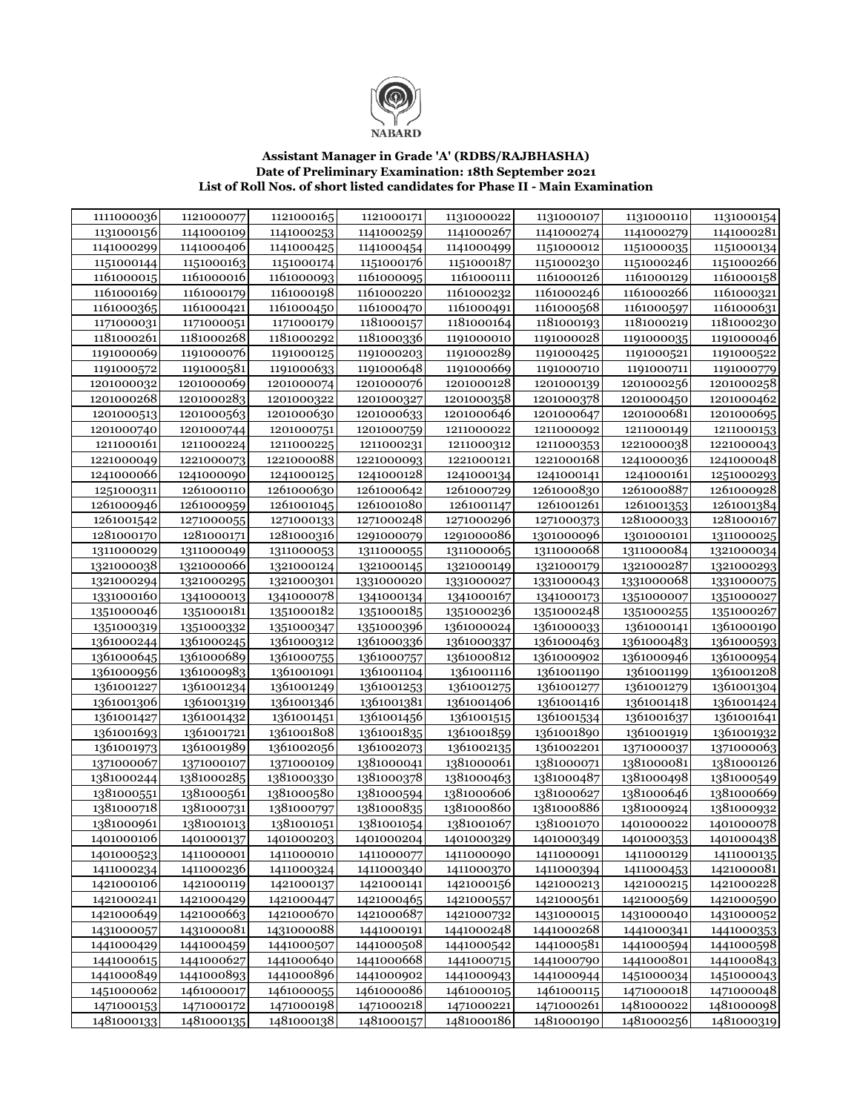

## Assistant Manager in Grade 'A' (RDBS/RAJBHASHA)<br>Date of Preliminary Examination: 18th September 2021<br>List of Roll Nos. of short listed candidates for Phase II - Main Examination

| 1111000036 | 1121000077 | 1121000165 | 1121000171 | 1131000022 | 1131000107 | 1131000110 | 1131000154 |
|------------|------------|------------|------------|------------|------------|------------|------------|
| 1131000156 | 1141000109 | 1141000253 | 1141000259 | 1141000267 | 1141000274 | 1141000279 | 1141000281 |
| 1141000299 | 1141000406 | 1141000425 | 1141000454 | 1141000499 | 1151000012 | 1151000035 | 1151000134 |
| 1151000144 | 1151000163 | 1151000174 | 1151000176 | 1151000187 | 1151000230 | 1151000246 | 1151000266 |
| 1161000015 | 1161000016 | 1161000093 | 1161000095 | 1161000111 | 1161000126 | 1161000129 | 1161000158 |
| 1161000169 | 1161000179 | 1161000198 | 1161000220 | 1161000232 | 1161000246 | 1161000266 | 1161000321 |
| 1161000365 | 1161000421 | 1161000450 | 1161000470 | 1161000491 | 1161000568 | 1161000597 | 1161000631 |
| 1171000031 | 1171000051 | 1171000179 | 1181000157 | 1181000164 | 1181000193 | 1181000219 | 1181000230 |
| 1181000261 | 1181000268 | 1181000292 | 1181000336 | 1191000010 | 1191000028 | 1191000035 | 1191000046 |
| 1191000069 | 1191000076 | 1191000125 | 1191000203 | 1191000289 | 1191000425 | 1191000521 | 1191000522 |
| 1191000572 | 1191000581 | 1191000633 | 1191000648 | 1191000669 | 1191000710 | 1191000711 | 1191000779 |
| 1201000032 | 1201000069 | 1201000074 | 1201000076 | 1201000128 | 1201000139 | 1201000256 | 1201000258 |
| 1201000268 | 1201000283 | 1201000322 | 1201000327 | 1201000358 | 1201000378 | 1201000450 | 1201000462 |
| 1201000513 | 1201000563 | 1201000630 | 1201000633 | 1201000646 | 1201000647 | 1201000681 | 1201000695 |
| 1201000740 | 1201000744 | 1201000751 | 1201000759 | 1211000022 | 1211000092 | 1211000149 | 1211000153 |
| 1211000161 | 1211000224 | 1211000225 | 1211000231 | 1211000312 | 1211000353 | 1221000038 | 1221000043 |
| 1221000049 | 1221000073 | 1221000088 | 1221000093 | 1221000121 | 1221000168 | 1241000036 | 1241000048 |
| 1241000066 | 1241000090 | 1241000125 | 1241000128 | 1241000134 | 1241000141 | 1241000161 | 1251000293 |
| 1251000311 | 1261000110 | 1261000630 | 1261000642 | 1261000729 | 1261000830 | 1261000887 | 1261000928 |
| 1261000946 | 1261000959 | 1261001045 | 1261001080 | 1261001147 | 1261001261 | 1261001353 | 1261001384 |
| 1261001542 | 1271000055 | 1271000133 | 1271000248 | 1271000296 | 1271000373 | 1281000033 | 1281000167 |
| 1281000170 | 1281000171 | 1281000316 | 1291000079 | 1291000086 | 1301000096 | 1301000101 | 1311000025 |
| 1311000029 | 1311000049 | 1311000053 | 1311000055 | 1311000065 | 1311000068 | 1311000084 | 1321000034 |
| 1321000038 | 1321000066 | 1321000124 | 1321000145 | 1321000149 | 1321000179 | 1321000287 | 1321000293 |
| 1321000294 | 1321000295 | 1321000301 | 1331000020 | 1331000027 | 1331000043 | 1331000068 | 1331000075 |
| 1331000160 | 1341000013 | 1341000078 | 1341000134 | 1341000167 | 1341000173 | 1351000007 | 1351000027 |
| 1351000046 | 1351000181 | 1351000182 | 1351000185 | 1351000236 | 1351000248 | 1351000255 | 1351000267 |
| 1351000319 | 1351000332 | 1351000347 | 1351000396 | 1361000024 | 1361000033 | 1361000141 | 1361000190 |
| 1361000244 | 1361000245 | 1361000312 | 1361000336 | 1361000337 | 1361000463 | 1361000483 | 1361000593 |
| 1361000645 | 1361000689 | 1361000755 | 1361000757 | 1361000812 | 1361000902 | 1361000946 | 1361000954 |
| 1361000956 | 1361000983 | 1361001091 | 1361001104 | 1361001116 | 1361001190 | 1361001199 | 1361001208 |
| 1361001227 | 1361001234 | 1361001249 | 1361001253 | 1361001275 | 1361001277 | 1361001279 | 1361001304 |
| 1361001306 | 1361001319 | 1361001346 | 1361001381 | 1361001406 | 1361001416 | 1361001418 | 1361001424 |
| 1361001427 | 1361001432 | 1361001451 | 1361001456 | 1361001515 | 1361001534 | 1361001637 | 1361001641 |
| 1361001693 | 1361001721 | 1361001808 | 1361001835 | 1361001859 | 1361001890 | 1361001919 | 1361001932 |
| 1361001973 | 1361001989 | 1361002056 | 1361002073 | 1361002135 | 1361002201 | 1371000037 | 1371000063 |
| 1371000067 | 1371000107 | 1371000109 | 1381000041 | 1381000061 | 1381000071 | 1381000081 | 1381000126 |
| 1381000244 | 1381000285 | 1381000330 | 1381000378 | 1381000463 | 1381000487 | 1381000498 | 1381000549 |
| 1381000551 | 1381000561 | 1381000580 | 1381000594 | 1381000606 | 1381000627 | 1381000646 | 1381000669 |
| 1381000718 | 1381000731 | 1381000797 | 1381000835 | 1381000860 | 1381000886 | 1381000924 | 1381000932 |
| 1381000961 | 1381001013 | 1381001051 | 1381001054 | 1381001067 | 1381001070 | 1401000022 | 1401000078 |
| 1401000106 | 1401000137 | 1401000203 | 1401000204 | 1401000329 | 1401000349 | 1401000353 | 1401000438 |
| 1401000523 | 1411000001 | 1411000010 | 1411000077 | 1411000090 | 1411000091 | 1411000129 | 1411000135 |
| 1411000234 | 1411000236 | 1411000324 | 1411000340 | 1411000370 | 1411000394 | 1411000453 | 1421000081 |
| 1421000106 | 1421000119 | 1421000137 | 1421000141 | 1421000156 | 1421000213 | 1421000215 | 1421000228 |
| 1421000241 | 1421000429 | 1421000447 | 1421000465 | 1421000557 | 1421000561 | 1421000569 | 1421000590 |
| 1421000649 | 1421000663 | 1421000670 | 1421000687 | 1421000732 | 1431000015 | 1431000040 | 1431000052 |
| 1431000057 | 1431000081 | 1431000088 | 1441000191 | 1441000248 | 1441000268 | 1441000341 | 1441000353 |
| 1441000429 | 1441000459 | 1441000507 | 1441000508 | 1441000542 | 1441000581 | 1441000594 | 1441000598 |
| 1441000615 | 1441000627 | 1441000640 | 1441000668 | 1441000715 | 1441000790 | 1441000801 | 1441000843 |
| 1441000849 | 1441000893 | 1441000896 | 1441000902 | 1441000943 | 1441000944 | 1451000034 | 1451000043 |
| 1451000062 | 1461000017 | 1461000055 | 1461000086 | 1461000105 | 1461000115 | 1471000018 | 1471000048 |
| 1471000153 | 1471000172 | 1471000198 | 1471000218 | 1471000221 | 1471000261 | 1481000022 | 1481000098 |
| 1481000133 | 1481000135 | 1481000138 | 1481000157 | 1481000186 | 1481000190 | 1481000256 | 1481000319 |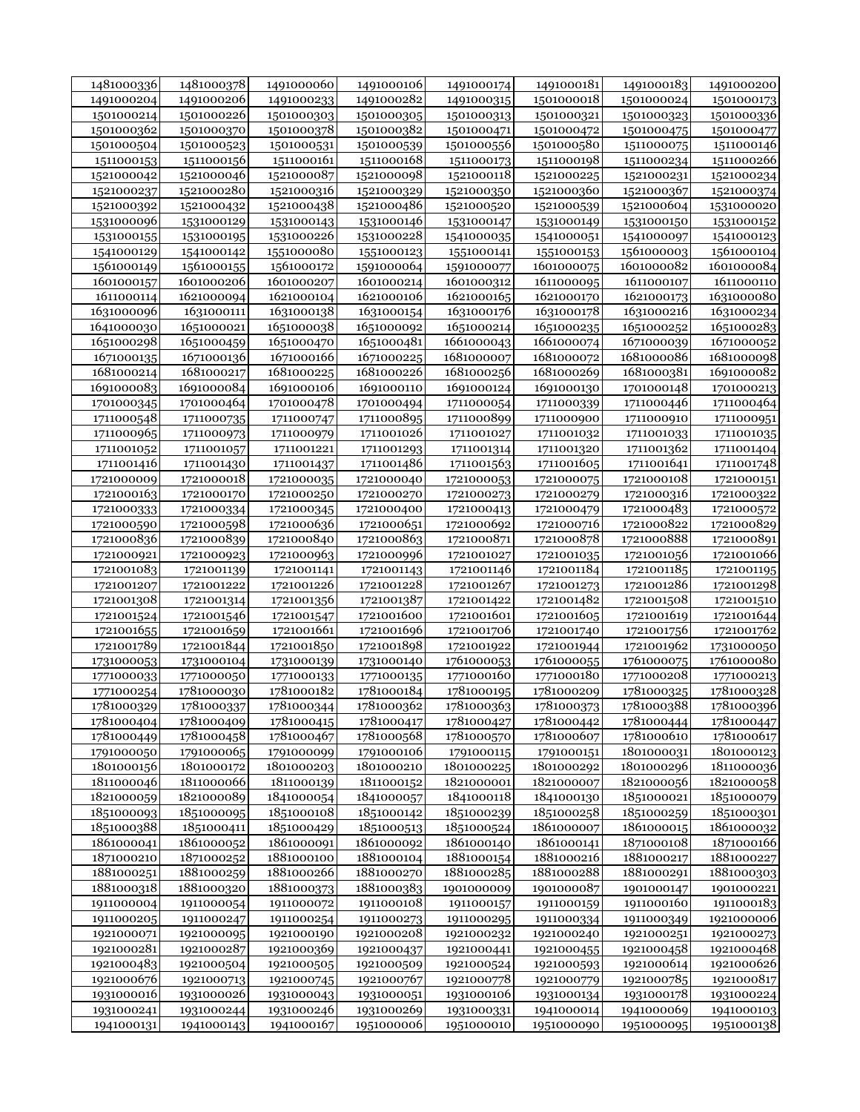| 1481000336 | 1481000378 | 1491000060 | 1491000106 | 1491000174 | 1491000181 | 1491000183 | 1491000200 |
|------------|------------|------------|------------|------------|------------|------------|------------|
| 1491000204 | 1491000206 | 1491000233 | 1491000282 | 1491000315 | 1501000018 | 1501000024 | 1501000173 |
| 1501000214 | 1501000226 | 1501000303 | 1501000305 | 1501000313 | 1501000321 | 1501000323 | 1501000336 |
| 1501000362 | 1501000370 | 1501000378 | 1501000382 | 1501000471 | 1501000472 | 1501000475 | 1501000477 |
| 1501000504 | 1501000523 | 1501000531 | 1501000539 | 1501000556 | 1501000580 | 1511000075 | 1511000146 |
| 1511000153 | 1511000156 | 1511000161 | 1511000168 | 1511000173 | 1511000198 | 1511000234 | 1511000266 |
| 1521000042 | 1521000046 | 1521000087 | 1521000098 | 1521000118 | 1521000225 | 1521000231 | 1521000234 |
| 1521000237 | 1521000280 | 1521000316 | 1521000329 | 1521000350 | 1521000360 | 1521000367 | 1521000374 |
| 1521000392 | 1521000432 | 1521000438 | 1521000486 | 1521000520 | 1521000539 | 1521000604 | 1531000020 |
| 1531000096 | 1531000129 | 1531000143 | 1531000146 | 1531000147 | 1531000149 | 1531000150 | 1531000152 |
| 1531000155 | 1531000195 | 1531000226 | 1531000228 | 1541000035 | 1541000051 | 1541000097 | 1541000123 |
| 1541000129 | 1541000142 | 1551000080 | 1551000123 | 1551000141 | 1551000153 | 1561000003 | 1561000104 |
| 1561000149 | 1561000155 | 1561000172 | 1591000064 | 1591000077 | 1601000075 | 1601000082 | 1601000084 |
| 1601000157 | 1601000206 | 1601000207 | 1601000214 | 1601000312 | 1611000095 | 1611000107 | 1611000110 |
|            |            |            | 1621000106 |            |            |            |            |
| 1611000114 | 1621000094 | 1621000104 |            | 1621000165 | 1621000170 | 1621000173 | 1631000080 |
| 1631000096 | 1631000111 | 1631000138 | 1631000154 | 1631000176 | 1631000178 | 1631000216 | 1631000234 |
| 1641000030 | 1651000021 | 1651000038 | 1651000092 | 1651000214 | 1651000235 | 1651000252 | 1651000283 |
| 1651000298 | 1651000459 | 1651000470 | 1651000481 | 1661000043 | 1661000074 | 1671000039 | 1671000052 |
| 1671000135 | 1671000136 | 1671000166 | 1671000225 | 1681000007 | 1681000072 | 1681000086 | 1681000098 |
| 1681000214 | 1681000217 | 1681000225 | 1681000226 | 1681000256 | 1681000269 | 1681000381 | 1691000082 |
| 1691000083 | 1691000084 | 1691000106 | 1691000110 | 1691000124 | 1691000130 | 1701000148 | 1701000213 |
| 1701000345 | 1701000464 | 1701000478 | 1701000494 | 1711000054 | 1711000339 | 1711000446 | 1711000464 |
| 1711000548 | 1711000735 | 1711000747 | 1711000895 | 1711000899 | 1711000900 | 1711000910 | 1711000951 |
| 1711000965 | 1711000973 | 1711000979 | 1711001026 | 1711001027 | 1711001032 | 1711001033 | 1711001035 |
| 1711001052 | 1711001057 | 1711001221 | 1711001293 | 1711001314 | 1711001320 | 1711001362 | 1711001404 |
| 1711001416 | 1711001430 | 1711001437 | 1711001486 | 1711001563 | 1711001605 | 1711001641 | 1711001748 |
| 1721000009 | 1721000018 | 1721000035 | 1721000040 | 1721000053 | 1721000075 | 1721000108 | 1721000151 |
| 1721000163 | 1721000170 | 1721000250 | 1721000270 | 1721000273 | 1721000279 | 1721000316 | 1721000322 |
| 1721000333 | 1721000334 | 1721000345 | 1721000400 | 1721000413 | 1721000479 | 1721000483 | 1721000572 |
| 1721000590 | 1721000598 | 1721000636 | 1721000651 | 1721000692 | 1721000716 | 1721000822 | 1721000829 |
| 1721000836 | 1721000839 | 1721000840 | 1721000863 | 1721000871 | 1721000878 | 1721000888 | 1721000891 |
| 1721000921 | 1721000923 | 1721000963 | 1721000996 | 1721001027 | 1721001035 | 1721001056 | 1721001066 |
| 1721001083 | 1721001139 | 1721001141 | 1721001143 | 1721001146 | 1721001184 | 1721001185 | 1721001195 |
| 1721001207 | 1721001222 | 1721001226 | 1721001228 | 1721001267 | 1721001273 | 1721001286 | 1721001298 |
| 1721001308 | 1721001314 | 1721001356 | 1721001387 | 1721001422 | 1721001482 | 1721001508 | 1721001510 |
| 1721001524 | 1721001546 | 1721001547 | 1721001600 | 1721001601 | 1721001605 | 1721001619 | 1721001644 |
| 1721001655 | 1721001659 | 1721001661 | 1721001696 | 1721001706 | 1721001740 | 1721001756 | 1721001762 |
| 1721001789 | 1721001844 | 1721001850 | 1721001898 | 1721001922 | 1721001944 | 1721001962 | 1731000050 |
| 1731000053 | 1731000104 | 1731000139 | 1731000140 | 1761000053 | 1761000055 | 1761000075 | 1761000080 |
| 1771000033 | 1771000050 | 1771000133 | 1771000135 | 1771000160 | 1771000180 | 1771000208 | 1771000213 |
| 1771000254 | 1781000030 | 1781000182 | 1781000184 | 1781000195 | 1781000209 | 1781000325 | 1781000328 |
| 1781000329 | 1781000337 | 1781000344 | 1781000362 | 1781000363 | 1781000373 | 1781000388 | 1781000396 |
|            | 1781000409 |            |            |            |            |            |            |
| 1781000404 |            | 1781000415 | 1781000417 | 1781000427 | 1781000442 | 1781000444 | 1781000447 |
| 1781000449 | 1781000458 | 1781000467 | 1781000568 | 1781000570 | 1781000607 | 1781000610 | 1781000617 |
| 1791000050 | 1791000065 | 1791000099 | 1791000106 | 1791000115 | 1791000151 | 1801000031 | 1801000123 |
| 1801000156 | 1801000172 | 1801000203 | 1801000210 | 1801000225 | 1801000292 | 1801000296 | 1811000036 |
| 1811000046 | 1811000066 | 1811000139 | 1811000152 | 1821000001 | 1821000007 | 1821000056 | 1821000058 |
| 1821000059 | 1821000089 | 1841000054 | 1841000057 | 1841000118 | 1841000130 | 1851000021 | 1851000079 |
| 1851000093 | 1851000095 | 1851000108 | 1851000142 | 1851000239 | 1851000258 | 1851000259 | 1851000301 |
| 1851000388 | 1851000411 | 1851000429 | 1851000513 | 1851000524 | 1861000007 | 1861000015 | 1861000032 |
| 1861000041 | 1861000052 | 1861000091 | 1861000092 | 1861000140 | 1861000141 | 1871000108 | 1871000166 |
| 1871000210 | 1871000252 | 1881000100 | 1881000104 | 1881000154 | 1881000216 | 1881000217 | 1881000227 |
| 1881000251 | 1881000259 | 1881000266 | 1881000270 | 1881000285 | 1881000288 | 1881000291 | 1881000303 |
| 1881000318 | 1881000320 | 1881000373 | 1881000383 | 1901000009 | 1901000087 | 1901000147 | 1901000221 |
| 1911000004 | 1911000054 | 1911000072 | 1911000108 | 1911000157 | 1911000159 | 1911000160 | 1911000183 |
| 1911000205 | 1911000247 | 1911000254 | 1911000273 | 1911000295 | 1911000334 | 1911000349 | 1921000006 |
| 1921000071 | 1921000095 | 1921000190 | 1921000208 | 1921000232 | 1921000240 | 1921000251 | 1921000273 |
| 1921000281 | 1921000287 | 1921000369 | 1921000437 | 1921000441 | 1921000455 | 1921000458 | 1921000468 |
| 1921000483 | 1921000504 | 1921000505 | 1921000509 | 1921000524 | 1921000593 | 1921000614 | 1921000626 |
| 1921000676 | 1921000713 | 1921000745 | 1921000767 | 1921000778 | 1921000779 | 1921000785 | 1921000817 |
| 1931000016 | 1931000026 | 1931000043 | 1931000051 | 1931000106 | 1931000134 | 1931000178 | 1931000224 |
| 1931000241 | 1931000244 | 1931000246 | 1931000269 | 1931000331 | 1941000014 | 1941000069 | 1941000103 |
| 1941000131 | 1941000143 | 1941000167 | 1951000006 | 1951000010 | 1951000090 | 1951000095 | 1951000138 |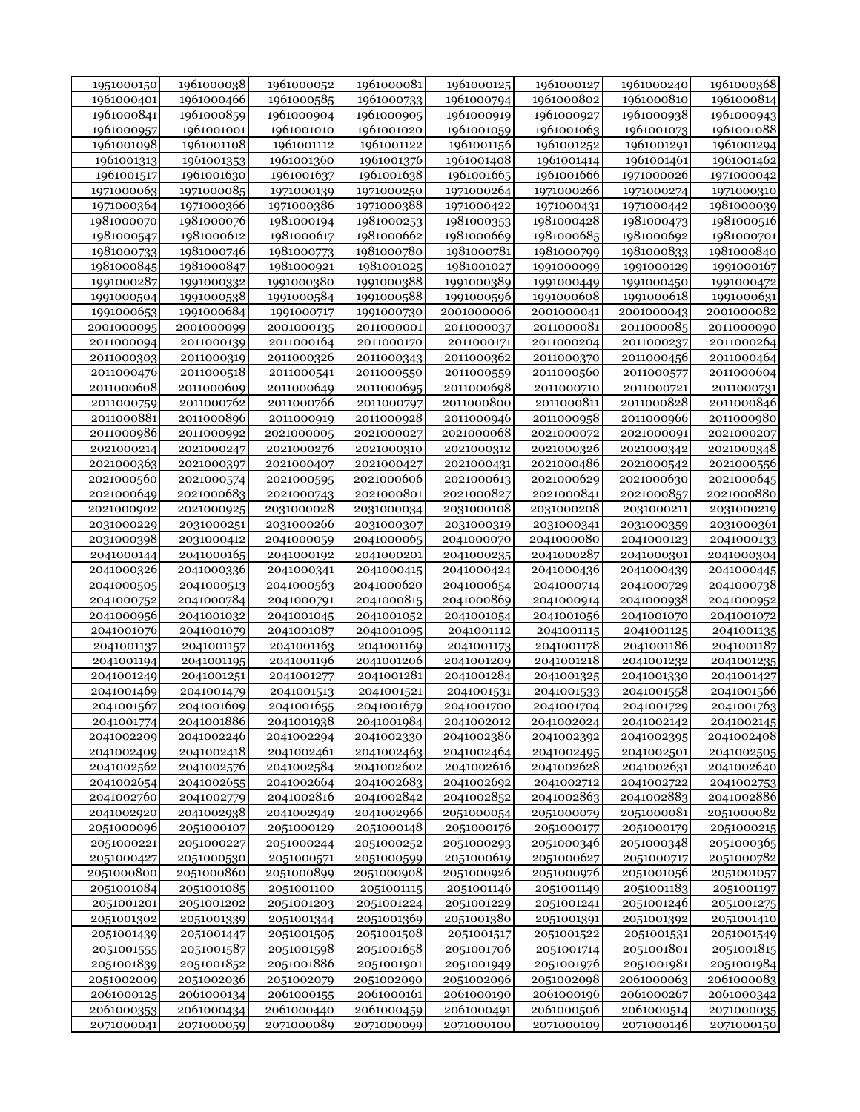| 1951000150 | 1961000038 | 1961000052 | 1961000081 | 1961000125 | 1961000127 | 1961000240 | 1961000368 |
|------------|------------|------------|------------|------------|------------|------------|------------|
| 1961000401 | 1961000466 | 1961000585 | 1961000733 | 1961000794 | 1961000802 | 1961000810 | 1961000814 |
| 1961000841 | 1961000859 | 1961000904 | 1961000905 | 1961000919 | 1961000927 | 1961000938 | 1961000943 |
| 1961000957 | 1961001001 | 1961001010 | 1961001020 | 1961001059 | 1961001063 | 1961001073 | 1961001088 |
| 1961001098 | 1961001108 | 1961001112 | 1961001122 | 1961001156 | 1961001252 | 1961001291 | 1961001294 |
| 1961001313 | 1961001353 | 1961001360 | 1961001376 | 1961001408 | 1961001414 | 1961001461 | 1961001462 |
| 1961001517 | 1961001630 | 1961001637 | 1961001638 | 1961001665 | 1961001666 | 1971000026 | 1971000042 |
| 1971000063 | 1971000085 | 1971000139 | 1971000250 | 1971000264 | 1971000266 | 1971000274 | 1971000310 |
| 1971000364 | 1971000366 | 1971000386 | 1971000388 | 1971000422 | 1971000431 | 1971000442 | 1981000039 |
| 1981000070 | 1981000076 | 1981000194 | 1981000253 | 1981000353 | 1981000428 | 1981000473 | 1981000516 |
| 1981000547 | 1981000612 | 1981000617 | 1981000662 | 1981000669 | 1981000685 | 1981000692 | 1981000701 |
| 1981000733 | 1981000746 | 1981000773 | 1981000780 | 1981000781 | 1981000799 | 1981000833 | 1981000840 |
| 1981000845 | 1981000847 | 1981000921 | 1981001025 | 1981001027 | 1991000099 | 1991000129 | 1991000167 |
| 1991000287 | 1991000332 | 1991000380 | 1991000388 | 1991000389 | 1991000449 | 1991000450 | 1991000472 |
| 1991000504 | 1991000538 | 1991000584 | 1991000588 | 1991000596 | 1991000608 | 1991000618 | 1991000631 |
| 1991000653 | 1991000684 | 1991000717 | 1991000730 | 2001000006 |            | 2001000043 | 2001000082 |
|            |            |            |            |            | 2001000041 |            |            |
| 2001000095 | 2001000099 | 2001000135 | 2011000001 | 2011000037 | 2011000081 | 2011000085 | 2011000090 |
| 2011000094 | 2011000139 | 2011000164 | 2011000170 | 2011000171 | 2011000204 | 2011000237 | 2011000264 |
| 2011000303 | 2011000319 | 2011000326 | 2011000343 | 2011000362 | 2011000370 | 2011000456 | 2011000464 |
| 2011000476 | 2011000518 | 2011000541 | 2011000550 | 2011000559 | 2011000560 | 2011000577 | 2011000604 |
| 2011000608 | 2011000609 | 2011000649 | 2011000695 | 2011000698 | 2011000710 | 2011000721 | 2011000731 |
| 2011000759 | 2011000762 | 2011000766 | 2011000797 | 2011000800 | 2011000811 | 2011000828 | 2011000846 |
| 2011000881 | 2011000896 | 2011000919 | 2011000928 | 2011000946 | 2011000958 | 2011000966 | 2011000980 |
| 2011000986 | 2011000992 | 2021000005 | 2021000027 | 2021000068 | 2021000072 | 2021000091 | 2021000207 |
| 2021000214 | 2021000247 | 2021000276 | 2021000310 | 2021000312 | 2021000326 | 2021000342 | 2021000348 |
| 2021000363 | 2021000397 | 2021000407 | 2021000427 | 2021000431 | 2021000486 | 2021000542 | 2021000556 |
| 2021000560 | 2021000574 | 2021000595 | 2021000606 | 2021000613 | 2021000629 | 2021000630 | 2021000645 |
| 2021000649 | 2021000683 | 2021000743 | 2021000801 | 2021000827 | 2021000841 | 2021000857 | 2021000880 |
| 2021000902 | 2021000925 | 2031000028 | 2031000034 | 2031000108 | 2031000208 | 2031000211 | 2031000219 |
| 2031000229 | 2031000251 | 2031000266 | 2031000307 | 2031000319 | 2031000341 | 2031000359 | 2031000361 |
| 2031000398 | 2031000412 | 2041000059 | 2041000065 | 2041000070 | 2041000080 | 2041000123 | 2041000133 |
| 2041000144 | 2041000165 | 2041000192 | 2041000201 | 2041000235 | 2041000287 | 2041000301 | 2041000304 |
| 2041000326 | 2041000336 | 2041000341 | 2041000415 | 2041000424 | 2041000436 | 2041000439 | 2041000445 |
| 2041000505 | 2041000513 | 2041000563 | 2041000620 | 2041000654 | 2041000714 | 2041000729 | 2041000738 |
| 2041000752 | 2041000784 | 2041000791 | 2041000815 | 2041000869 | 2041000914 | 2041000938 | 2041000952 |
| 2041000956 | 2041001032 | 2041001045 | 2041001052 | 2041001054 | 2041001056 | 2041001070 | 2041001072 |
| 2041001076 | 2041001079 | 2041001087 | 2041001095 | 2041001112 | 2041001115 | 2041001125 | 2041001135 |
| 2041001137 | 2041001157 | 2041001163 | 2041001169 | 2041001173 | 2041001178 | 2041001186 | 2041001187 |
| 2041001194 | 2041001195 | 2041001196 | 2041001206 | 2041001209 | 2041001218 | 2041001232 | 2041001235 |
| 2041001249 | 2041001251 | 2041001277 | 2041001281 | 2041001284 | 2041001325 | 2041001330 | 2041001427 |
| 2041001469 | 2041001479 | 2041001513 | 2041001521 | 2041001531 | 2041001533 | 2041001558 | 2041001566 |
| 2041001567 | 2041001609 | 2041001655 | 2041001679 | 2041001700 | 2041001704 | 2041001729 | 2041001763 |
| 2041001774 | 2041001886 | 2041001938 | 2041001984 | 2041002012 | 2041002024 | 2041002142 | 2041002145 |
| 2041002209 | 2041002246 | 2041002294 | 2041002330 | 2041002386 | 2041002392 | 2041002395 | 2041002408 |
| 2041002409 | 2041002418 | 2041002461 | 2041002463 | 2041002464 | 2041002495 | 2041002501 | 2041002505 |
| 2041002562 | 2041002576 | 2041002584 | 2041002602 | 2041002616 | 2041002628 | 2041002631 | 2041002640 |
| 2041002654 | 2041002655 | 2041002664 | 2041002683 | 2041002692 | 2041002712 | 2041002722 | 2041002753 |
| 2041002760 | 2041002779 | 2041002816 | 2041002842 | 2041002852 | 2041002863 | 2041002883 | 2041002886 |
| 2041002920 | 2041002938 | 2041002949 | 2041002966 | 2051000054 | 2051000079 | 2051000081 | 2051000082 |
| 2051000096 | 2051000107 | 2051000129 | 2051000148 | 2051000176 | 2051000177 | 2051000179 | 2051000215 |
| 2051000221 | 2051000227 | 2051000244 | 2051000252 | 2051000293 | 2051000346 | 2051000348 | 2051000365 |
| 2051000427 | 2051000530 | 2051000571 | 2051000599 | 2051000619 | 2051000627 | 2051000717 | 2051000782 |
| 2051000800 | 2051000860 | 2051000899 | 2051000908 | 2051000926 | 2051000976 | 2051001056 | 2051001057 |
| 2051001084 | 2051001085 | 2051001100 | 2051001115 | 2051001146 | 2051001149 | 2051001183 | 2051001197 |
| 2051001201 | 2051001202 | 2051001203 | 2051001224 | 2051001229 | 2051001241 | 2051001246 | 2051001275 |
| 2051001302 | 2051001339 | 2051001344 | 2051001369 | 2051001380 | 2051001391 | 2051001392 | 2051001410 |
| 2051001439 | 2051001447 | 2051001505 | 2051001508 | 2051001517 | 2051001522 | 2051001531 | 2051001549 |
| 2051001555 | 2051001587 | 2051001598 | 2051001658 | 2051001706 | 2051001714 | 2051001801 | 2051001815 |
| 2051001839 | 2051001852 | 2051001886 | 2051001901 | 2051001949 | 2051001976 | 2051001981 | 2051001984 |
| 2051002009 | 2051002036 | 2051002079 | 2051002090 | 2051002096 | 2051002098 | 2061000063 | 2061000083 |
| 2061000125 | 2061000134 | 2061000155 | 2061000161 | 2061000190 | 2061000196 | 2061000267 | 2061000342 |
| 2061000353 | 2061000434 | 2061000440 | 2061000459 | 2061000491 | 2061000506 | 2061000514 | 2071000035 |
| 2071000041 | 2071000059 | 2071000089 | 2071000099 | 2071000100 | 2071000109 | 2071000146 | 2071000150 |
|            |            |            |            |            |            |            |            |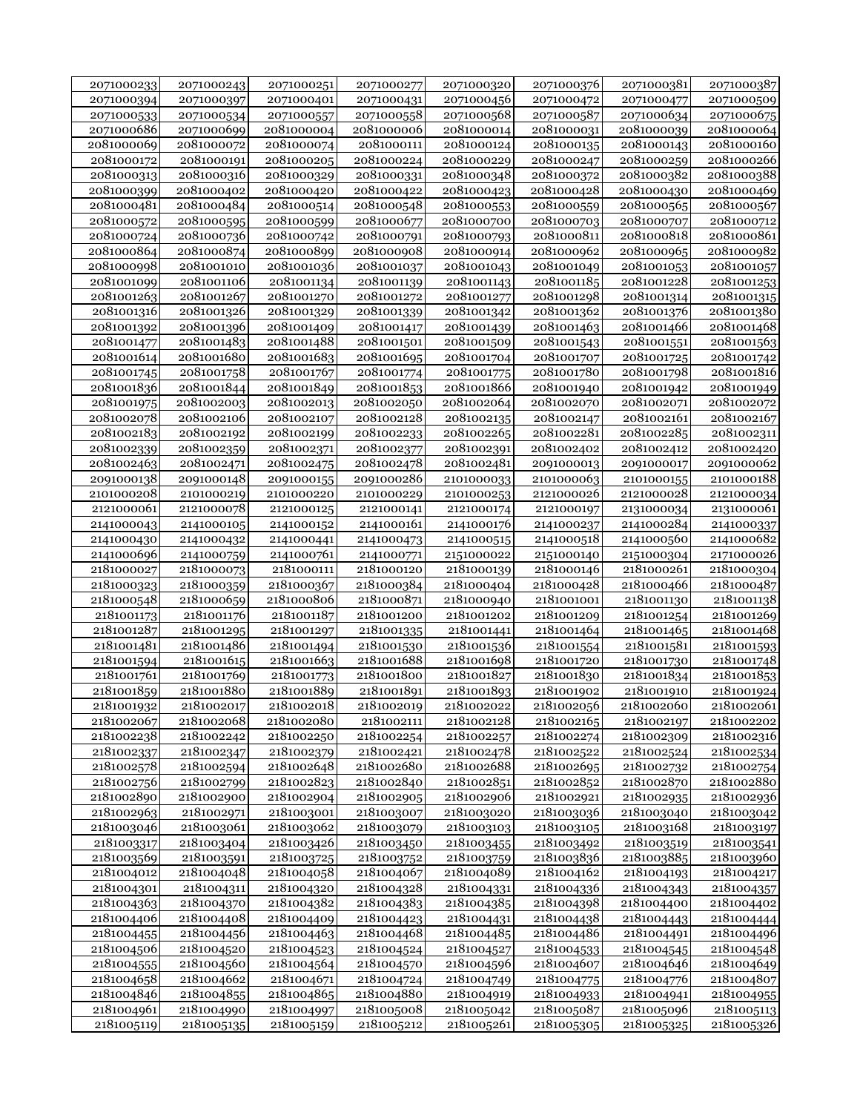| 2071000233               | 2071000243               | 2071000251               | 2071000277               | 2071000320               | 2071000376               | 2071000381               | 2071000387               |
|--------------------------|--------------------------|--------------------------|--------------------------|--------------------------|--------------------------|--------------------------|--------------------------|
| 2071000394               | 2071000397               | 2071000401               | 2071000431               | 2071000456               | 2071000472               | 2071000477               | 2071000509               |
| 2071000533               | 2071000534               | 2071000557               | 2071000558               | 2071000568               | 2071000587               | 2071000634               | 2071000675               |
| 2071000686               | 2071000699               | 2081000004               | 2081000006               | 2081000014               | 2081000031               | 2081000039               | 2081000064               |
| 2081000069               | 2081000072               | 2081000074               | 2081000111               | 2081000124               | 2081000135               | 2081000143               | 2081000160               |
| 2081000172               | 2081000191               | 2081000205               | 2081000224               | 2081000229               | 2081000247               | 2081000259               | 2081000266               |
| 2081000313               | 2081000316               | 2081000329               | 2081000331               | 2081000348               | 2081000372               | 2081000382               | 2081000388               |
| 2081000399               | 2081000402               | 2081000420               | 2081000422               | 2081000423               | 2081000428               | 2081000430               | 2081000469               |
| 2081000481               | 2081000484               | 2081000514               | 2081000548               | 2081000553               | 2081000559               | 2081000565               | 2081000567               |
| 2081000572               | 2081000595               | 2081000599               | 2081000677               | 2081000700               | 2081000703               | 2081000707               | 2081000712               |
| 2081000724               | 2081000736               | 2081000742               | 2081000791               | 2081000793               | 2081000811               | 2081000818               | 2081000861               |
| 2081000864               | 2081000874               | 2081000899               | 2081000908               | 2081000914               | 2081000962               | 2081000965               | 2081000982               |
| 2081000998               | 2081001010               | 2081001036               | 2081001037               | 2081001043               | 2081001049               | 2081001053               | 2081001057               |
| 2081001099               | 2081001106               | 2081001134               | 2081001139               | 2081001143               | 2081001185               | 2081001228               | 2081001253               |
| 2081001263               | 2081001267               | 2081001270               | 2081001272               | 2081001277               | 2081001298               | 2081001314               | 2081001315               |
| 2081001316               | 2081001326               | 2081001329               | 2081001339               | 2081001342               | 2081001362               | 2081001376               | 2081001380               |
| 2081001392               | 2081001396               | 2081001409               | 2081001417               | 2081001439               | 2081001463               | 2081001466               | 2081001468               |
| 2081001477               | 2081001483               | 2081001488               | 2081001501               | 2081001509               | 2081001543               | 2081001551               | 2081001563               |
| 2081001614               | 2081001680               | 2081001683               | 2081001695               | 2081001704               | 2081001707               | 2081001725               | 2081001742               |
| 2081001745               | 2081001758               | 2081001767               | 2081001774               | 2081001775               | 2081001780               | 2081001798               | 2081001816               |
|                          |                          |                          |                          |                          | 2081001940               |                          |                          |
| 2081001836               | 2081001844               | 2081001849               | 2081001853               | 2081001866<br>2081002064 |                          | 2081001942               | 2081001949<br>2081002072 |
| 2081001975<br>2081002078 | 2081002003<br>2081002106 | 2081002013<br>2081002107 | 2081002050<br>2081002128 |                          | 2081002070<br>2081002147 | 2081002071<br>2081002161 | 2081002167               |
|                          |                          | 2081002199               |                          | 2081002135               | 2081002281               | 2081002285               | 2081002311               |
| 2081002183               | 2081002192<br>2081002359 | 2081002371               | 2081002233               | 2081002265<br>2081002391 |                          | 2081002412               |                          |
| 2081002339               |                          |                          | 2081002377               |                          | 2081002402               |                          | 2081002420               |
| 2081002463               | 2081002471               | 2081002475               | 2081002478               | 2081002481               | 2091000013               | 2091000017               | 2091000062               |
| 2091000138               | 2091000148               | 2091000155               | 2091000286               | 2101000033               | 2101000063               | 2101000155               | 2101000188               |
| 2101000208               | 2101000219               | 2101000220               | 2101000229               | 2101000253               | 2121000026               | 2121000028               | 2121000034               |
| 2121000061               | 2121000078               | 2121000125               | 2121000141               | 2121000174               | 2121000197               | 2131000034               | 2131000061               |
| 2141000043               | 2141000105               | 2141000152               | 2141000161               | 2141000176               | 2141000237               | 2141000284               | 2141000337               |
| 2141000430               | 2141000432               | 2141000441               | 2141000473               | 2141000515               | 2141000518               | 2141000560               | 2141000682               |
| 2141000696               | 2141000759               | 2141000761               | 2141000771               | 2151000022               | 2151000140               | 2151000304               | 2171000026               |
| 2181000027               | 2181000073               | 2181000111               | 2181000120               | 2181000139               | 2181000146               | 2181000261               | 2181000304               |
| 2181000323               | 2181000359               | 2181000367               | 2181000384               | 2181000404               | 2181000428               | 2181000466               | 2181000487               |
| 2181000548               | 2181000659               | 2181000806               | 2181000871               | 2181000940               | 2181001001               | 2181001130               | 2181001138               |
| 2181001173               | 2181001176               | 2181001187               | 2181001200               | 2181001202               | 2181001209               | 2181001254               | 2181001269               |
| 2181001287               | 2181001295               | 2181001297               | 2181001335               | 2181001441               | 2181001464               | 2181001465               | 2181001468               |
| 2181001481               | 2181001486               | 2181001494               | 2181001530               | 2181001536               | 2181001554               | 2181001581               | 2181001593               |
| 2181001594               | 2181001615               | 2181001663               | 2181001688               | 2181001698               | 2181001720               | 2181001730               | 2181001748               |
| 2181001761               | 2181001769               | 2181001773               | 2181001800               | 2181001827               | 2181001830               | 2181001834               | 2181001853               |
| 2181001859               | 2181001880               | 2181001889               | 2181001891               | 2181001893               | 2181001902               | 2181001910               | 2181001924               |
| 2181001932               | 2181002017               | 2181002018               | 2181002019               | 2181002022               | 2181002056               | 2181002060               | 2181002061               |
| 2181002067               | 2181002068               | 2181002080               | 2181002111               | 2181002128               | 2181002165               | 2181002197               | 2181002202               |
| 2181002238               | 2181002242               | 2181002250               | 2181002254               | 2181002257               | 2181002274               | 2181002309               | 2181002316               |
| 2181002337               | 2181002347               | 2181002379               | 2181002421               | 2181002478               | 2181002522               | 2181002524               | 2181002534               |
| 2181002578               | 2181002594               | 2181002648               | 2181002680               | 2181002688               | 2181002695               | 2181002732               | 2181002754               |
| 2181002756               | 2181002799               | 2181002823               | 2181002840               | 2181002851               | 2181002852               | 2181002870               | 2181002880               |
| 2181002890               | 2181002900               | 2181002904               | 2181002905               | 2181002906               | 2181002921               | 2181002935               | 2181002936               |
| 2181002963               | 2181002971               | 2181003001               | 2181003007               | 2181003020               | 2181003036               | 2181003040               | 2181003042               |
| 2181003046               | 2181003061               | 2181003062               | 2181003079               | 2181003103               | 2181003105               | 2181003168               | 2181003197               |
| 2181003317               | 2181003404               | 2181003426               | 2181003450               | 2181003455               | 2181003492               | 2181003519               | 2181003541               |
| 2181003569               | 2181003591               | 2181003725               | 2181003752               | 2181003759               | 2181003836               | 2181003885               | 2181003960               |
| 2181004012               | 2181004048               | 2181004058               | 2181004067               | 2181004089               | 2181004162               | 2181004193               | 2181004217               |
| 2181004301               | 2181004311               | 2181004320               | 2181004328               | 2181004331               | 2181004336               | 2181004343               | 2181004357               |
| 2181004363               | 2181004370               | 2181004382               | 2181004383               | 2181004385               | 2181004398               | 2181004400               | 2181004402               |
| 2181004406               | 2181004408               | 2181004409               | 2181004423               | 2181004431               | 2181004438               | 2181004443               | 2181004444               |
| 2181004455               | 2181004456               | 2181004463               | 2181004468               | 2181004485               | 2181004486               | 2181004491               | 2181004496               |
| 2181004506               | 2181004520               | 2181004523               | 2181004524               | 2181004527               | 2181004533               | 2181004545               | 2181004548               |
| 2181004555               | 2181004560               | 2181004564               | 2181004570               | 2181004596               | 2181004607               | 2181004646               | 2181004649               |
| 2181004658               | 2181004662               | 2181004671               | 2181004724               | 2181004749               | 2181004775               | 2181004776               | 2181004807               |
| 2181004846               | 2181004855               | 2181004865               | 2181004880               | 2181004919               | 2181004933               | 2181004941               | 2181004955               |
| 2181004961               | 2181004990               | 2181004997               | 2181005008               | 2181005042               | 2181005087               | 2181005096               | 2181005113               |
| 2181005119               | 2181005135               | 2181005159               | 2181005212               | 2181005261               | 2181005305               | 2181005325               | 2181005326               |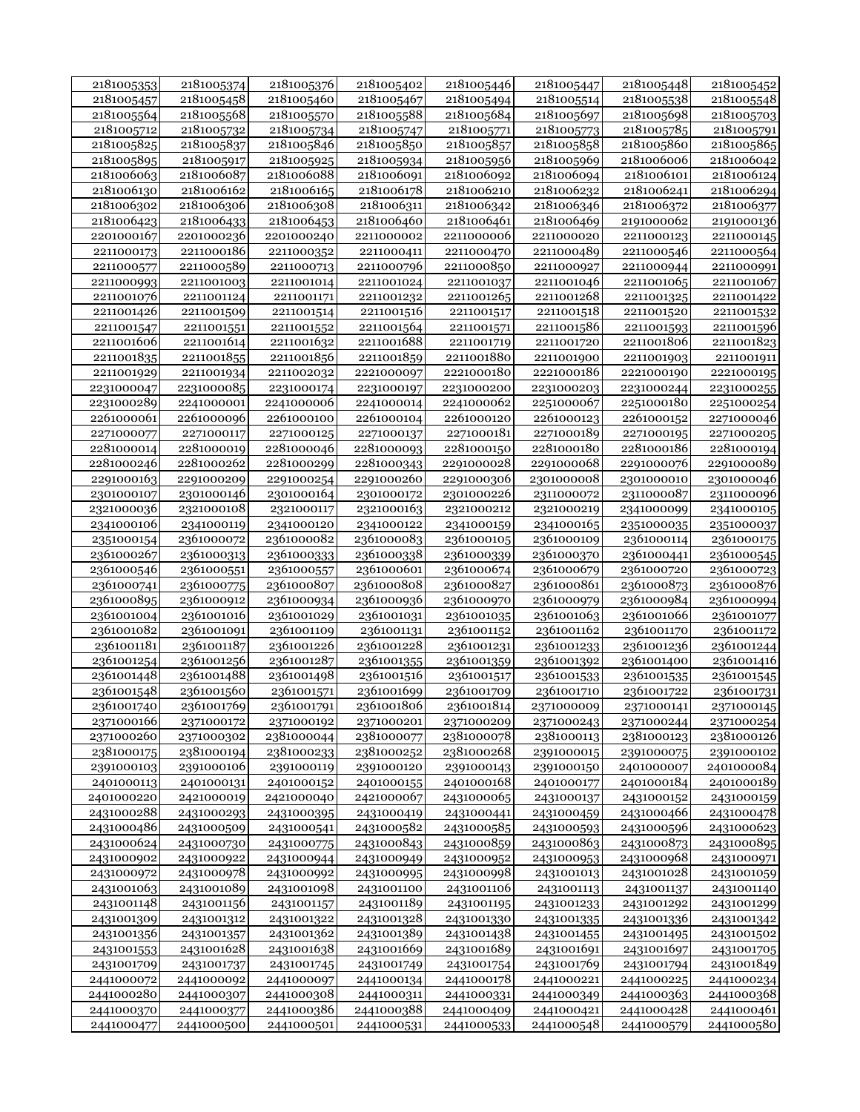| 2181005353 | 2181005374 | 2181005376 | 2181005402               | 2181005446 | 2181005447 | 2181005448 | 2181005452               |
|------------|------------|------------|--------------------------|------------|------------|------------|--------------------------|
| 2181005457 | 2181005458 | 2181005460 | 2181005467               | 2181005494 | 2181005514 | 2181005538 | 2181005548               |
| 2181005564 | 2181005568 | 2181005570 | 2181005588               | 2181005684 | 2181005697 | 2181005698 | 2181005703               |
| 2181005712 | 2181005732 | 2181005734 | 2181005747               | 2181005771 | 2181005773 | 2181005785 | 2181005791               |
| 2181005825 | 2181005837 | 2181005846 | 2181005850               | 2181005857 | 2181005858 | 2181005860 | 2181005865               |
| 2181005895 | 2181005917 | 2181005925 | 2181005934               | 2181005956 | 2181005969 | 2181006006 | 2181006042               |
| 2181006063 | 2181006087 | 2181006088 | 2181006091               | 2181006092 | 2181006094 | 2181006101 | 2181006124               |
| 2181006130 | 2181006162 | 2181006165 | 2181006178               | 2181006210 | 2181006232 | 2181006241 | 2181006294               |
| 2181006302 | 2181006306 | 2181006308 | 2181006311               | 2181006342 | 2181006346 | 2181006372 | 2181006377               |
| 2181006423 | 2181006433 | 2181006453 | 2181006460               | 2181006461 | 2181006469 | 2191000062 | 2191000136               |
| 2201000167 | 2201000236 | 2201000240 | 2211000002               | 2211000006 | 2211000020 | 2211000123 | 2211000145               |
| 2211000173 | 2211000186 | 2211000352 | 2211000411               | 2211000470 | 2211000489 | 2211000546 | 2211000564               |
| 2211000577 | 2211000589 | 2211000713 | 2211000796               | 2211000850 | 2211000927 | 2211000944 | 2211000991               |
| 2211000993 | 2211001003 | 2211001014 | 2211001024               | 2211001037 | 2211001046 | 2211001065 | 2211001067               |
| 2211001076 | 2211001124 | 2211001171 | 2211001232               | 2211001265 | 2211001268 | 2211001325 | 2211001422               |
| 2211001426 | 2211001509 | 2211001514 | 2211001516               | 2211001517 | 2211001518 | 2211001520 |                          |
|            |            |            |                          |            |            |            | 2211001532               |
| 2211001547 | 2211001551 | 2211001552 | 2211001564<br>2211001688 | 2211001571 | 2211001586 | 2211001593 | 2211001596<br>2211001823 |
| 2211001606 | 2211001614 | 2211001632 |                          | 2211001719 | 2211001720 | 2211001806 |                          |
| 2211001835 | 2211001855 | 2211001856 | 2211001859               | 2211001880 | 2211001900 | 2211001903 | 2211001911               |
| 2211001929 | 2211001934 | 2211002032 | 2221000097               | 2221000180 | 2221000186 | 2221000190 | 2221000195               |
| 2231000047 | 2231000085 | 2231000174 | 2231000197               | 2231000200 | 2231000203 | 2231000244 | 2231000255               |
| 2231000289 | 2241000001 | 2241000006 | 2241000014               | 2241000062 | 2251000067 | 2251000180 | 2251000254               |
| 2261000061 | 2261000096 | 2261000100 | 2261000104               | 2261000120 | 2261000123 | 2261000152 | 2271000046               |
| 2271000077 | 2271000117 | 2271000125 | 2271000137               | 2271000181 | 2271000189 | 2271000195 | 2271000205               |
| 2281000014 | 2281000019 | 2281000046 | 2281000093               | 2281000150 | 2281000180 | 2281000186 | 2281000194               |
| 2281000246 | 2281000262 | 2281000299 | 2281000343               | 2291000028 | 2291000068 | 2291000076 | 2291000089               |
| 2291000163 | 2291000209 | 2291000254 | 2291000260               | 2291000306 | 2301000008 | 2301000010 | 2301000046               |
| 2301000107 | 2301000146 | 2301000164 | 2301000172               | 2301000226 | 2311000072 | 2311000087 | 2311000096               |
| 2321000036 | 2321000108 | 2321000117 | 2321000163               | 2321000212 | 2321000219 | 2341000099 | 2341000105               |
| 2341000106 | 2341000119 | 2341000120 | 2341000122               | 2341000159 | 2341000165 | 2351000035 | 2351000037               |
| 2351000154 | 2361000072 | 2361000082 | 2361000083               | 2361000105 | 2361000109 | 2361000114 | 2361000175               |
| 2361000267 | 2361000313 | 2361000333 | 2361000338               | 2361000339 | 2361000370 | 2361000441 | 2361000545               |
| 2361000546 | 2361000551 | 2361000557 | 2361000601               | 2361000674 | 2361000679 | 2361000720 | 2361000723               |
| 2361000741 | 2361000775 | 2361000807 | 2361000808               | 2361000827 | 2361000861 | 2361000873 | 2361000876               |
| 2361000895 | 2361000912 | 2361000934 | 2361000936               | 2361000970 | 2361000979 | 2361000984 | 2361000994               |
| 2361001004 | 2361001016 | 2361001029 | 2361001031               | 2361001035 | 2361001063 | 2361001066 | 2361001077               |
| 2361001082 | 2361001091 | 2361001109 | 2361001131               | 2361001152 | 2361001162 | 2361001170 | 2361001172               |
| 2361001181 | 2361001187 | 2361001226 | 2361001228               | 2361001231 | 2361001233 | 2361001236 | 2361001244               |
| 2361001254 | 2361001256 | 2361001287 | 2361001355               | 2361001359 | 2361001392 | 2361001400 | 2361001416               |
| 2361001448 | 2361001488 | 2361001498 | 2361001516               | 2361001517 | 2361001533 | 2361001535 | 2361001545               |
| 2361001548 | 2361001560 | 2361001571 | 2361001699               | 2361001709 | 2361001710 | 2361001722 | 2361001731               |
| 2361001740 | 2361001769 | 2361001791 | 2361001806               | 2361001814 | 2371000009 | 2371000141 | 2371000145               |
| 2371000166 | 2371000172 | 2371000192 | 2371000201               | 2371000209 | 2371000243 | 2371000244 | 2371000254               |
| 2371000260 | 2371000302 | 2381000044 | 2381000077               | 2381000078 | 2381000113 | 2381000123 | 2381000126               |
| 2381000175 | 2381000194 | 2381000233 | 2381000252               | 2381000268 | 2391000015 | 2391000075 | 2391000102               |
| 2391000103 | 2391000106 | 2391000119 | 2391000120               | 2391000143 | 2391000150 | 2401000007 | 2401000084               |
| 2401000113 | 2401000131 | 2401000152 | 2401000155               | 2401000168 | 2401000177 | 2401000184 | 2401000189               |
| 2401000220 | 2421000019 | 2421000040 | 2421000067               | 2431000065 | 2431000137 | 2431000152 | 2431000159               |
| 2431000288 | 2431000293 | 2431000395 | 2431000419               | 2431000441 | 2431000459 | 2431000466 | 2431000478               |
| 2431000486 | 2431000509 | 2431000541 | 2431000582               | 2431000585 | 2431000593 | 2431000596 | 2431000623               |
| 2431000624 | 2431000730 | 2431000775 | 2431000843               | 2431000859 | 2431000863 | 2431000873 | 2431000895               |
| 2431000902 | 2431000922 | 2431000944 | 2431000949               | 2431000952 | 2431000953 | 2431000968 | 2431000971               |
| 2431000972 | 2431000978 | 2431000992 | 2431000995               | 2431000998 | 2431001013 | 2431001028 | 2431001059               |
| 2431001063 | 2431001089 | 2431001098 | 2431001100               | 2431001106 | 2431001113 | 2431001137 | 2431001140               |
| 2431001148 | 2431001156 | 2431001157 | 2431001189               | 2431001195 | 2431001233 | 2431001292 | 2431001299               |
| 2431001309 | 2431001312 | 2431001322 | 2431001328               | 2431001330 | 2431001335 | 2431001336 | 2431001342               |
| 2431001356 | 2431001357 | 2431001362 | 2431001389               | 2431001438 | 2431001455 | 2431001495 | 2431001502               |
| 2431001553 | 2431001628 | 2431001638 | 2431001669               | 2431001689 | 2431001691 | 2431001697 | 2431001705               |
| 2431001709 | 2431001737 | 2431001745 | 2431001749               | 2431001754 | 2431001769 | 2431001794 | 2431001849               |
| 2441000072 | 2441000092 | 2441000097 | 2441000134               | 2441000178 | 2441000221 | 2441000225 | 2441000234               |
| 2441000280 | 2441000307 | 2441000308 | 2441000311               | 2441000331 | 2441000349 | 2441000363 | 2441000368               |
| 2441000370 | 2441000377 | 2441000386 | 2441000388               | 2441000409 | 2441000421 | 2441000428 | 2441000461               |
| 2441000477 | 2441000500 | 2441000501 | 2441000531               | 2441000533 | 2441000548 | 2441000579 | 2441000580               |
|            |            |            |                          |            |            |            |                          |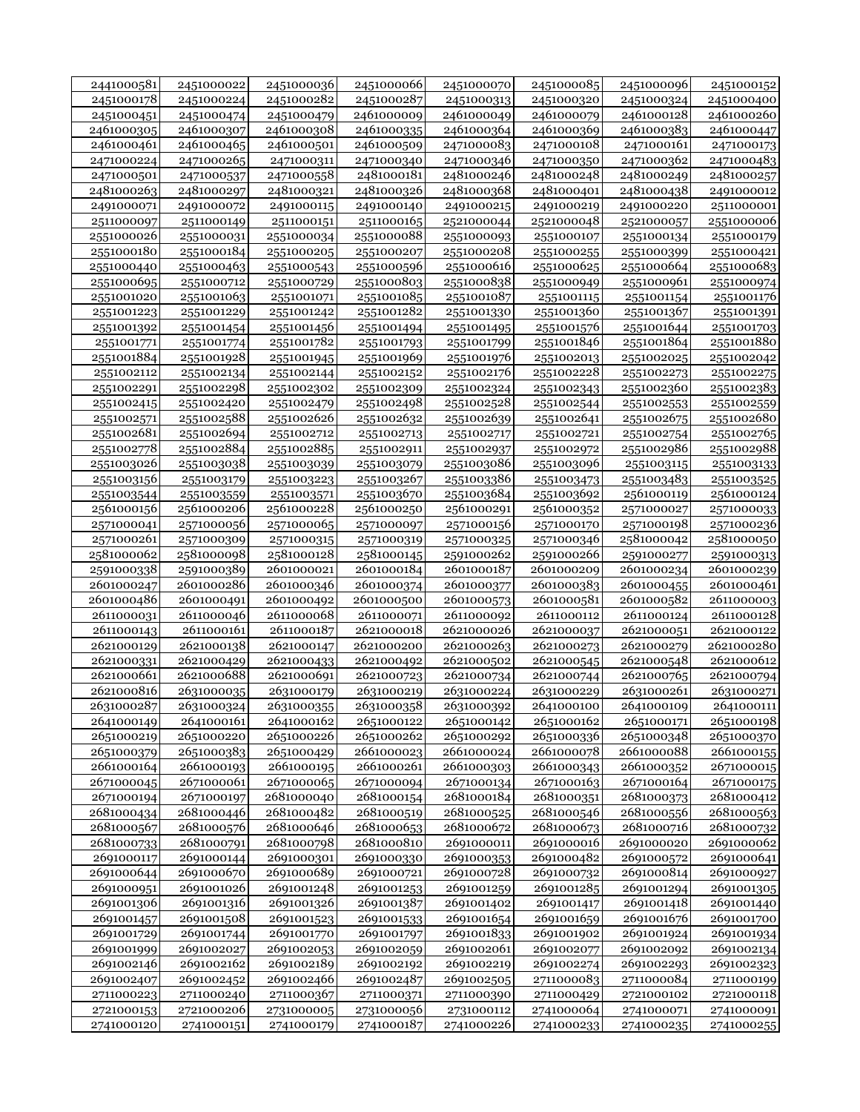| 2441000581               | 2451000022               | 2451000036               | 2451000066               | 2451000070 | 2451000085               | 2451000096               | 2451000152 |
|--------------------------|--------------------------|--------------------------|--------------------------|------------|--------------------------|--------------------------|------------|
| 2451000178               | 2451000224               | 2451000282               | 2451000287               | 2451000313 | 2451000320               | 2451000324               | 2451000400 |
| 2451000451               | 2451000474               | 2451000479               | 2461000009               | 2461000049 | 2461000079               | 2461000128               | 2461000260 |
| 2461000305               | 2461000307               | 2461000308               | 2461000335               | 2461000364 | 2461000369               | 2461000383               | 2461000447 |
| 2461000461               | 2461000465               | 2461000501               | 2461000509               | 2471000083 | 2471000108               | 2471000161               | 2471000173 |
| 2471000224               | 2471000265               | 2471000311               | 2471000340               | 2471000346 | 2471000350               | 2471000362               | 2471000483 |
| 2471000501               | 2471000537               | 2471000558               | 2481000181               | 2481000246 | 2481000248               | 2481000249               | 2481000257 |
| 2481000263               | 2481000297               | 2481000321               | 2481000326               | 2481000368 | 2481000401               | 2481000438               | 2491000012 |
| 2491000071               | 2491000072               | 2491000115               | 2491000140               | 2491000215 | 2491000219               | 2491000220               | 2511000001 |
| 2511000097               | 2511000149               | 2511000151               | 2511000165               | 2521000044 | 2521000048               | 2521000057               | 2551000006 |
| 2551000026               | 2551000031               | 2551000034               | 2551000088               | 2551000093 | 2551000107               | 2551000134               | 2551000179 |
| 2551000180               | 2551000184               | 2551000205               | 2551000207               | 2551000208 | 2551000255               | 2551000399               | 2551000421 |
| 2551000440               | 2551000463               | 2551000543               | 2551000596               | 2551000616 | 2551000625               | 2551000664               | 2551000683 |
|                          |                          |                          |                          | 2551000838 |                          |                          |            |
| 2551000695               | 2551000712               | 2551000729               | 2551000803               |            | 2551000949               | 2551000961               | 2551000974 |
| 2551001020               | 2551001063               | 2551001071               | 2551001085               | 2551001087 | 2551001115               | 2551001154               | 2551001176 |
| 2551001223               | 2551001229               | 2551001242               | 2551001282               | 2551001330 | 2551001360               | 2551001367               | 2551001391 |
| 2551001392               | 2551001454               | 2551001456               | 2551001494               | 2551001495 | 2551001576               | 2551001644               | 2551001703 |
| 2551001771               | 2551001774               | 2551001782               | 2551001793               | 2551001799 | 2551001846               | 2551001864               | 2551001880 |
| 2551001884               | 2551001928               | 2551001945               | 2551001969               | 2551001976 | 2551002013               | 2551002025               | 2551002042 |
| 2551002112               | 2551002134               | 2551002144               | 2551002152               | 2551002176 | 2551002228               | 2551002273               | 2551002275 |
| 2551002291               | 2551002298               | 2551002302               | 2551002309               | 2551002324 | 2551002343               | 2551002360               | 2551002383 |
| 2551002415               | 2551002420               | 2551002479               | 2551002498               | 2551002528 | 2551002544               | 2551002553               | 2551002559 |
| 2551002571               | 2551002588               | 2551002626               | 2551002632               | 2551002639 | 2551002641               | 2551002675               | 2551002680 |
| 2551002681               | 2551002694               | 2551002712               | 2551002713               | 2551002717 | 2551002721               | 2551002754               | 2551002765 |
| 2551002778               | 2551002884               | 2551002885               | 2551002911               | 2551002937 | 2551002972               | 2551002986               | 2551002988 |
| 2551003026               | 2551003038               | 2551003039               | 2551003079               | 2551003086 | 2551003096               | 2551003115               | 2551003133 |
| 2551003156               | 2551003179               | 2551003223               | 2551003267               | 2551003386 | 2551003473               | 2551003483               | 2551003525 |
| 2551003544               | 2551003559               | 2551003571               | 2551003670               | 2551003684 | 2551003692               | 2561000119               | 2561000124 |
| 2561000156               | 2561000206               | 2561000228               | 2561000250               | 2561000291 | 2561000352               | 2571000027               | 2571000033 |
| 2571000041               | 2571000056               | 2571000065               | 2571000097               | 2571000156 | 2571000170               | 2571000198               | 2571000236 |
| 2571000261               | 2571000309               | 2571000315               | 2571000319               | 2571000325 | 2571000346               | 2581000042               | 2581000050 |
| 2581000062               | 2581000098               | 2581000128               | 2581000145               | 2591000262 | 2591000266               | 2591000277               | 2591000313 |
| 2591000338               | 2591000389               | 2601000021               | 2601000184               | 2601000187 | 2601000209               | 2601000234               | 2601000239 |
| 2601000247               | 2601000286               | 2601000346               | 2601000374               | 2601000377 | 2601000383               | 2601000455               | 2601000461 |
| 2601000486               | 2601000491               | 2601000492               | 2601000500               | 2601000573 | 2601000581               | 2601000582               | 2611000003 |
| 2611000031               | 2611000046               | 2611000068               | 2611000071               | 2611000092 | 2611000112               | 2611000124               | 2611000128 |
| 2611000143               | 2611000161               | 2611000187               | 2621000018               | 2621000026 | 2621000037               | 2621000051               | 2621000122 |
| 2621000129               | 2621000138               | 2621000147               | 2621000200               | 2621000263 | 2621000273               | 2621000279               | 2621000280 |
| 2621000331               | 2621000429               | 2621000433               | 2621000492               | 2621000502 | 2621000545               | 2621000548               | 2621000612 |
| 2621000661               | 2621000688               | 2621000691               | 2621000723               | 2621000734 | 2621000744               | 2621000765               | 2621000794 |
| 2621000816               | 2631000035               | 2631000179               | 2631000219               | 2631000224 | 2631000229               | 2631000261               | 2631000271 |
| 2631000287               | 2631000324               | 2631000355               | 2631000358               | 2631000392 | 2641000100               | 2641000109               | 2641000111 |
| 2641000149               | 2641000161               | 2641000162               | 2651000122               | 2651000142 | 2651000162               | 2651000171               | 2651000198 |
|                          | 2651000220               |                          |                          | 2651000292 |                          |                          |            |
| 2651000219               |                          | 2651000226<br>2651000429 | 2651000262               |            | 2651000336<br>2661000078 | 2651000348<br>2661000088 | 2651000370 |
| 2651000379<br>2661000164 | 2651000383<br>2661000193 | 2661000195               | 2661000023<br>2661000261 | 2661000024 |                          | 2661000352               | 2661000155 |
|                          |                          |                          |                          | 2661000303 | 2661000343               | 2671000164               | 2671000015 |
| 2671000045               | 2671000061<br>2671000197 | 2671000065               | 2671000094               | 2671000134 | 2671000163<br>2681000351 |                          | 2671000175 |
| 2671000194               |                          | 2681000040               | 2681000154               | 2681000184 |                          | 2681000373               | 2681000412 |
| 2681000434               | 2681000446               | 2681000482               | 2681000519               | 2681000525 | 2681000546               | 2681000556               | 2681000563 |
| 2681000567               | 2681000576               | 2681000646               | 2681000653               | 2681000672 | 2681000673               | 2681000716               | 2681000732 |
| 2681000733               | 2681000791               | 2681000798               | 2681000810               | 2691000011 | 2691000016               | 2691000020               | 2691000062 |
| 2691000117               | 2691000144               | 2691000301               | 2691000330               | 2691000353 | 2691000482               | 2691000572               | 2691000641 |
| 2691000644               | 2691000670               | 2691000689               | 2691000721               | 2691000728 | 2691000732               | 2691000814               | 2691000927 |
| 2691000951               | 2691001026               | 2691001248               | 2691001253               | 2691001259 | 2691001285               | 2691001294               | 2691001305 |
| 2691001306               | 2691001316               | 2691001326               | 2691001387               | 2691001402 | 2691001417               | 2691001418               | 2691001440 |
| 2691001457               | 2691001508               | 2691001523               | 2691001533               | 2691001654 | 2691001659               | 2691001676               | 2691001700 |
| 2691001729               | 2691001744               | 2691001770               | 2691001797               | 2691001833 | 2691001902               | 2691001924               | 2691001934 |
| 2691001999               | 2691002027               | 2691002053               | 2691002059               | 2691002061 | 2691002077               | 2691002092               | 2691002134 |
| 2691002146               | 2691002162               | 2691002189               | 2691002192               | 2691002219 | 2691002274               | 2691002293               | 2691002323 |
| 2691002407               | 2691002452               | 2691002466               | 2691002487               | 2691002505 | 2711000083               | 2711000084               | 2711000199 |
| 2711000223               | 2711000240               | 2711000367               | 2711000371               | 2711000390 | 2711000429               | 2721000102               | 2721000118 |
| 2721000153               | 2721000206               | 2731000005               | 2731000056               | 2731000112 | 2741000064               | 2741000071               | 2741000091 |
| 2741000120               | 2741000151               | 2741000179               | 2741000187               | 2741000226 | 2741000233               | 2741000235               | 2741000255 |